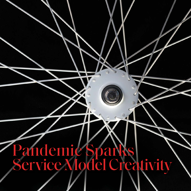# Pandemic Sparks Service Model Creativity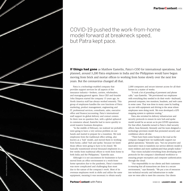

### COVID-19 pushed the work-from-home model forward at breakneck speed, but Patra kept pace.

**If things had gone** as Matthew Easterlin, Patra's COO for international operations, had planned, around 3,200 Patra employees in India and the Philippines would have begun moving from brick and mortar offices to working from home slowly over the next few years. But the coronavirus changed all that.

Patra is a technology-enabled company that provides support services for all aspects of the insurance industry—brokers, carriers, wholesalers, and managing general agents. Since CEO and founder John Simpson started the company 15 years ago, its North America staff has always worked remotely. This group of employees handles the core functions of Patra: marketing, product management, engineering and IT, professional services, consultants, sales, executive office and finance/accounting. Patra's international staff support its global delivery and contact centers. So there was no question that, with a global upheaval in commerce ahead, Easterlin had to move quickly to avoid massive business disruption.

"In the middle of February, we realized we probably were going to have a very serious problem on our hands and started to prepare for a transition. We took employees from the traditional office setting, also known as a 'hub' model, and moved them to working from home, called 'hub and spoke,' because we knew those offices were going to have to be closed. We basically transitioned several thousand employees in a few weeks from traditional offices to work from home in both India and the Philippines," Easterlin says.

Although it is not uncommon for businesses to have moved from an office environment to a work-fromhome operation due to the pandemic, Patra's transition was more complicated and challenging than most due to the nature of the company's work. Most of its overseas employees work in shifts and utilize the same equipment, meaning it was necessary to obtain nearly

2,000 computers and secure internet access for all their homes in a matter of weeks.

"It took a lot of pounding of pavement and phone calls," says Easterlin. "We provisioned our employees with everything they needed to do their work—keyboard, personal computer, two monitors, headsets, and web cams in some cases. That was done in many cases by loading up cars with equipment and driving to the areas where employees were doing work. We even developed a GPS mapping system to optimize routing."

Patra also revisited its delivery infrastructure and security protocols to ensure its new hub-and-spoke model would be as secure as its pre-COVID operations. For that effort, Easterlin turned to Patra's chief security officer, Sean Kennedy. Kennedy and his team designed a technology provision model that promoted security and confidence above all else.

"There have been some bumps in the road as the company changed how we traditionally support our global operations," Kennedy says, "but our proactive and innovative vison to transform our service delivery model is more resilient and more sophisticated than people realize."

That vision included everything from developing new protocols for the company's distributed workforce to ensuring proper encryption and computer authentication through the cloud.

"Our responsibility to our clients and their customers is ensuring that all transactions are done in a secure environment," says Kennedy. "We put a ton of resources into technical security and infrastructure to make sure we were able to meet the concerns. Our clients

Jose Luis Stephens/Getty Images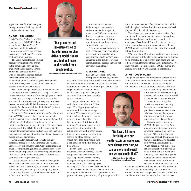appreciate the efforts we have gone through to ensure the integrity and confidentiality of their data."

#### SMOOTH TRANSITION

Leticia Treviño, COO of Patra's U.S. operations, says COVID-19 did not seriously affect Patra's "Select" operations but the transition to remote work overseas was necessary to ensure its "OnDemand" business continued uninterrupted.

The Select model focuses on small account servicing for retail brokers in the commercial, personal and employee benefits sectors. Treviño says Patra's domestic employees, who are brokers or licensed account managers, essentially become

an extension of the customer's agency. They provide insurance advice, renewals, and other consultation services to mid-market customers.

The OnDemand operation uses U.S. team members as intermediaries with the customers. They coordinate between customers and the off-shore employees to handle services such as issuing certificates of insurance, data entry, and document processing, freeing the customers to do more work to build their business and serve their insureds. Treviño estimated that the India staff performs about 80% of Patra's OnDemand work.

One method Patra used to offset the staffing disruption due to COVID-19 was to hire temporary workers in North America to ensure that the work normally handled in India and the Philippines continued pretty much uninterrupted during the transition from offices to remote workplaces. Out of COVID-19 and Treviño's ability to harness domestic temporary workers arose the creation of new business deployment models that offered alternatives during business disruptions.

Dawn Beasley, property and casualty business operations manager for ABD Insurance and Financial Services, says her company uses Patra's Select model for small account servicing and the OnDemand services for as much work as possible. She says during the transition from office sites to remote work overseas, Patra's work continued to be "super seamless."

"During the pandemic, there was little interruption. There were a couple of weeks when the stuff we were able to send to the (overseas) team slowed a little, but within a month, we were up and running fully again. It was amazing they could get their entire team up in such a short time," Beasley says.



**"Our proactive and innovative vision to transform our service delivery model is more resilient and more sophisticated than people realize."**

 **—Sean Kennedy, chief security officer, Patra**

Another Patra customer, Kelly Sprague, vice president and commercial lines operation manager at Heffernan Insurance Brokers, says there has never been any problem with Patra's use of a remote workforce, either domestically or overseas.

"Their communications are great with us," Sprague says. "Sometimes it feels as if they could be in the department downstairs. There is no difference in the quality of work or communications because they are not physically in an office."

#### A SILVER LINING

Kate Lister, president of Global Workplace Analytics, says before

the COVID crisis, only about 3.6% of the workforce was working at home half-time or more, but she expects that figure will rise to 25% or 30% post COVID. That

large an increase in remote work would have easily taken five years or more without the boost provided by the pandemic.

"The genie is out of the bottle, and it is not going back in," Lister says. "The biggest pushback on remote work has been manager mistrust. The easiest way to change that is to have the managers work remotely themselves. Once they have experienced it, it is an 'aha' moment. Their employees are not going to be sitting on the sofa eating bonbons, and in many cases, they are more productive than they were in an office setting. I never would have thought it would take a pandemic to be the big shift, but here we are."

Robert Peters, COO of the Insurance Office of America, says his company is one such example. He says the pandemic forced company managers to drop their resistance to remote work for its 1,300 employees working in 60 offices across the United States.

"We've been able to show in five months that working remotely has improved operations from a productivity standpoint and a quality standpoint. It has improved every element of customer service, and that really has given the board of directors a comfort level they wouldn't have had," Peters says.

There have also been other benefits realized from remote work, including greater success in recruiting qualified candidates and improved retention of employees. Easterlin and Peters do not expect to ever return to an office-only workforce, although the post-COVID remote work will likely be a few days a week rather than full-time.

"We have about 25% of our workforce back in some locations now, but the plan is to change our work model to be probably 40 to 50% work from home and the others working from the office," IOA's Peters says. "We knew we had to do it because of COVID, but we are looking now at how we can make it permanent."

#### A POST-COVID WORLD

The global pandemic not only pushed companies like Patra to address remote work options, it provided an opportunity for innovative companies throughout the insurance industry and other business sectors to



**"We have a lot more flexibility with our workforce. As our customers need change over time, we can be more nimble with how we can handle that."**

> **—Matthew Easterlin, COO for international operations, Patra**

utilize technology to enhance their infrastructure, workflows, staffing models, and security measures—all in the name of customer service. "The evolution of our global workforce, end-to-end security between our remote and onpremises workers, whenever and wherever they may be, represents the new normal for insurance processing," says Patra's Kennedy.

Easterlin agrees, saying the COVID-19 crisis has given Patra an opportunity to scale, grow and support its verticals for the years to come. "One of the things we discovered through this process was that, pre-pandemic, we operated in a very rigid configuration… When people moved out of [that] rigid configuration, it allowed us to be more flexible in when and how they were working. If people wanted to change the time when they were working or if it made sense to match time with when our

customer needed work done, we were able to do that. We have a lot more flexibility with our workforce. As our customers need change over time, we can be more nimble with how we can handle that," he says. enge